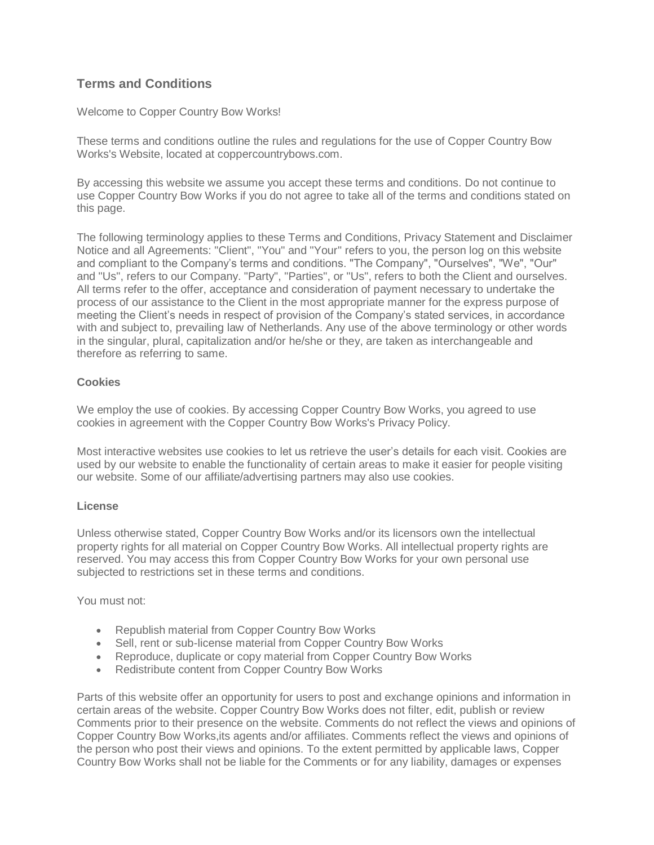# **Terms and Conditions**

Welcome to Copper Country Bow Works!

These terms and conditions outline the rules and regulations for the use of Copper Country Bow Works's Website, located at coppercountrybows.com.

By accessing this website we assume you accept these terms and conditions. Do not continue to use Copper Country Bow Works if you do not agree to take all of the terms and conditions stated on this page.

The following terminology applies to these Terms and Conditions, Privacy Statement and Disclaimer Notice and all Agreements: "Client", "You" and "Your" refers to you, the person log on this website and compliant to the Company's terms and conditions. "The Company", "Ourselves", "We", "Our" and "Us", refers to our Company. "Party", "Parties", or "Us", refers to both the Client and ourselves. All terms refer to the offer, acceptance and consideration of payment necessary to undertake the process of our assistance to the Client in the most appropriate manner for the express purpose of meeting the Client's needs in respect of provision of the Company's stated services, in accordance with and subject to, prevailing law of Netherlands. Any use of the above terminology or other words in the singular, plural, capitalization and/or he/she or they, are taken as interchangeable and therefore as referring to same.

# **Cookies**

We employ the use of cookies. By accessing Copper Country Bow Works, you agreed to use cookies in agreement with the Copper Country Bow Works's Privacy Policy.

Most interactive websites use cookies to let us retrieve the user's details for each visit. Cookies are used by our website to enable the functionality of certain areas to make it easier for people visiting our website. Some of our affiliate/advertising partners may also use cookies.

## **License**

Unless otherwise stated, Copper Country Bow Works and/or its licensors own the intellectual property rights for all material on Copper Country Bow Works. All intellectual property rights are reserved. You may access this from Copper Country Bow Works for your own personal use subjected to restrictions set in these terms and conditions.

You must not:

- Republish material from Copper Country Bow Works
- Sell, rent or sub-license material from Copper Country Bow Works
- Reproduce, duplicate or copy material from Copper Country Bow Works
- Redistribute content from Copper Country Bow Works

Parts of this website offer an opportunity for users to post and exchange opinions and information in certain areas of the website. Copper Country Bow Works does not filter, edit, publish or review Comments prior to their presence on the website. Comments do not reflect the views and opinions of Copper Country Bow Works,its agents and/or affiliates. Comments reflect the views and opinions of the person who post their views and opinions. To the extent permitted by applicable laws, Copper Country Bow Works shall not be liable for the Comments or for any liability, damages or expenses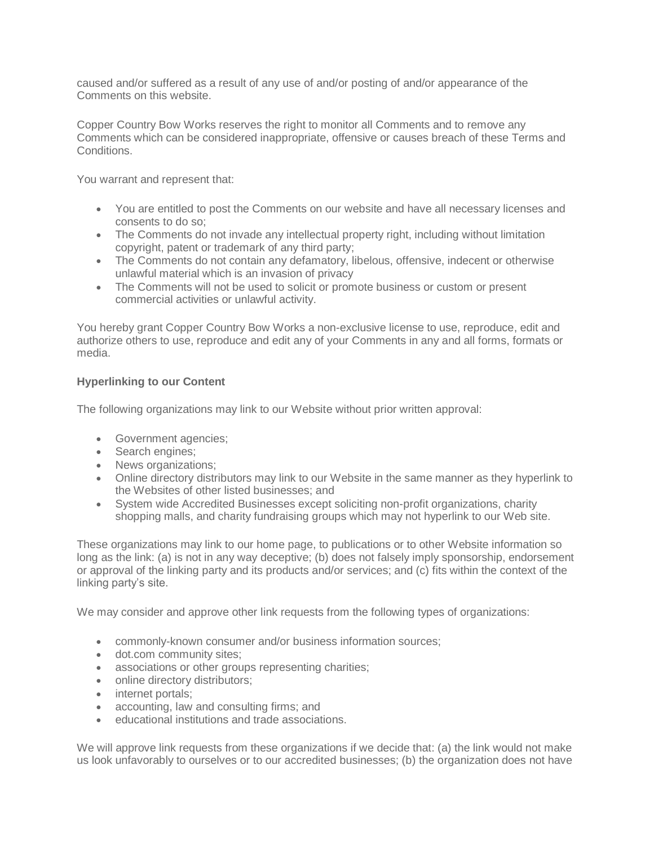caused and/or suffered as a result of any use of and/or posting of and/or appearance of the Comments on this website.

Copper Country Bow Works reserves the right to monitor all Comments and to remove any Comments which can be considered inappropriate, offensive or causes breach of these Terms and Conditions.

You warrant and represent that:

- You are entitled to post the Comments on our website and have all necessary licenses and consents to do so;
- The Comments do not invade any intellectual property right, including without limitation copyright, patent or trademark of any third party;
- The Comments do not contain any defamatory, libelous, offensive, indecent or otherwise unlawful material which is an invasion of privacy
- The Comments will not be used to solicit or promote business or custom or present commercial activities or unlawful activity.

You hereby grant Copper Country Bow Works a non-exclusive license to use, reproduce, edit and authorize others to use, reproduce and edit any of your Comments in any and all forms, formats or media.

# **Hyperlinking to our Content**

The following organizations may link to our Website without prior written approval:

- Government agencies;
- Search engines;
- News organizations:
- Online directory distributors may link to our Website in the same manner as they hyperlink to the Websites of other listed businesses; and
- System wide Accredited Businesses except soliciting non-profit organizations, charity shopping malls, and charity fundraising groups which may not hyperlink to our Web site.

These organizations may link to our home page, to publications or to other Website information so long as the link: (a) is not in any way deceptive; (b) does not falsely imply sponsorship, endorsement or approval of the linking party and its products and/or services; and (c) fits within the context of the linking party's site.

We may consider and approve other link requests from the following types of organizations:

- commonly-known consumer and/or business information sources;
- dot.com community sites;
- associations or other groups representing charities;
- online directory distributors;
- internet portals;
- accounting, law and consulting firms; and
- educational institutions and trade associations.

We will approve link requests from these organizations if we decide that: (a) the link would not make us look unfavorably to ourselves or to our accredited businesses; (b) the organization does not have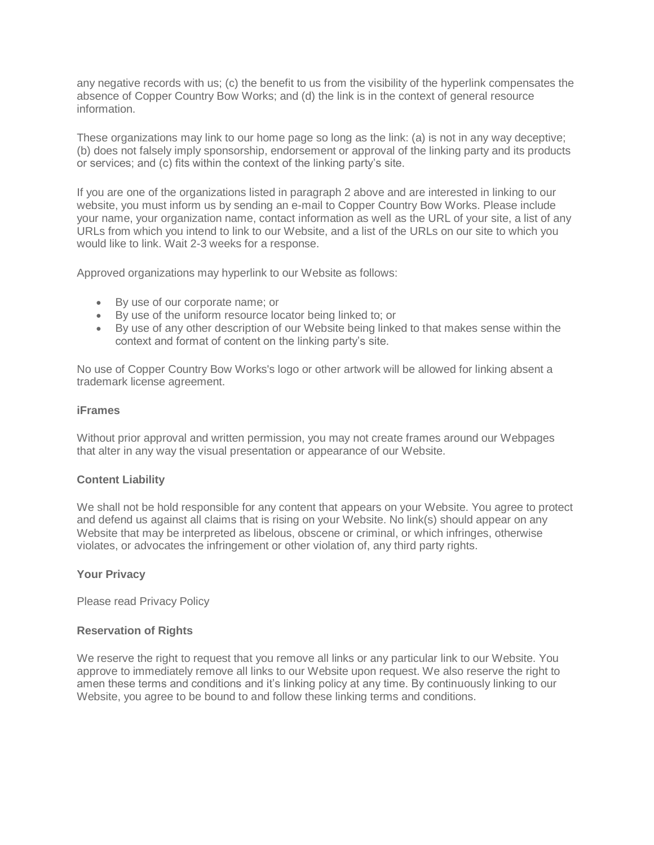any negative records with us; (c) the benefit to us from the visibility of the hyperlink compensates the absence of Copper Country Bow Works; and (d) the link is in the context of general resource information.

These organizations may link to our home page so long as the link: (a) is not in any way deceptive; (b) does not falsely imply sponsorship, endorsement or approval of the linking party and its products or services; and (c) fits within the context of the linking party's site.

If you are one of the organizations listed in paragraph 2 above and are interested in linking to our website, you must inform us by sending an e-mail to Copper Country Bow Works. Please include your name, your organization name, contact information as well as the URL of your site, a list of any URLs from which you intend to link to our Website, and a list of the URLs on our site to which you would like to link. Wait 2-3 weeks for a response.

Approved organizations may hyperlink to our Website as follows:

- By use of our corporate name; or
- By use of the uniform resource locator being linked to; or
- By use of any other description of our Website being linked to that makes sense within the context and format of content on the linking party's site.

No use of Copper Country Bow Works's logo or other artwork will be allowed for linking absent a trademark license agreement.

#### **iFrames**

Without prior approval and written permission, you may not create frames around our Webpages that alter in any way the visual presentation or appearance of our Website.

## **Content Liability**

We shall not be hold responsible for any content that appears on your Website. You agree to protect and defend us against all claims that is rising on your Website. No link(s) should appear on any Website that may be interpreted as libelous, obscene or criminal, or which infringes, otherwise violates, or advocates the infringement or other violation of, any third party rights.

## **Your Privacy**

Please read Privacy Policy

## **Reservation of Rights**

We reserve the right to request that you remove all links or any particular link to our Website. You approve to immediately remove all links to our Website upon request. We also reserve the right to amen these terms and conditions and it's linking policy at any time. By continuously linking to our Website, you agree to be bound to and follow these linking terms and conditions.